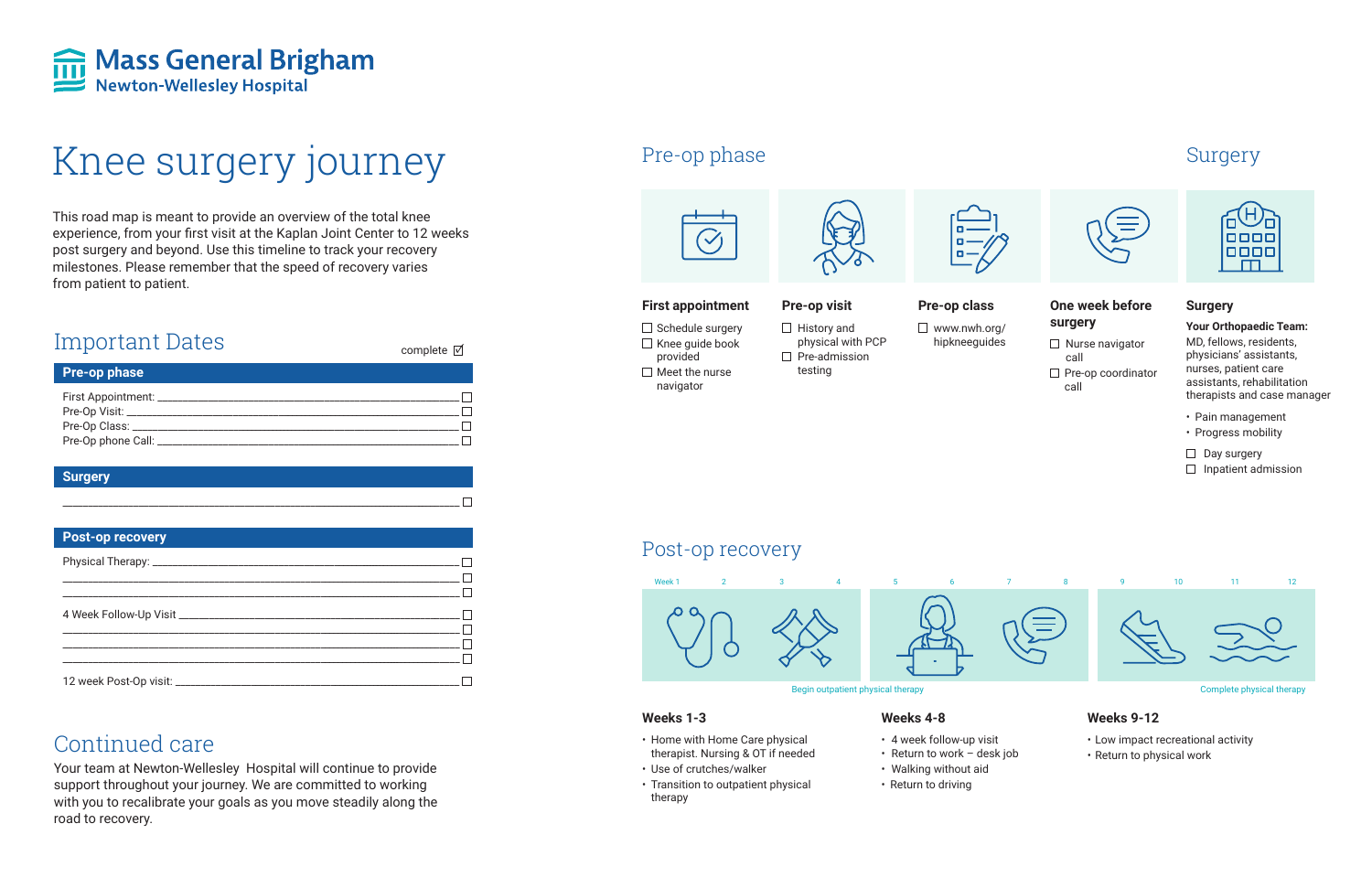

# Knee surgery journey Pre-op phase

This road map is meant to provide an overview of the total knee experience, from your first visit at the Kaplan Joint Center to 12 weeks post surgery and beyond. Use this timeline to track your recovery milestones. Please remember that the speed of recovery varies from patient to patient.

> $\Box$  Schedule surgery  $\Box$  Knee guide book provided  $\Box$  Meet the nurse navigator

 $\Box$  History and physical with PCP  $\Box$  Pre-admission testing

- $\Box$  Nurse navigator call
- $\Box$  Pre-op coordinator call



#### **First appointment**

- Pain management
- Progress mobility
- $\Box$  Day surgery
- $\Box$  Inpatient admission

#### **Pre-op visit**

**Pre-op class** www.nwh.org/ hipkneeguides

#### **One week before surgery**

#### **Surgery**

**Your Orthopaedic Team:** MD, fellows, residents, physicians' assistants, nurses, patient care assistants, rehabilitation therapists and case manager

## Continued care

Your team at Newton-Wellesley Hospital will continue to provide support throughout your journey. We are committed to working with you to recalibrate your goals as you move steadily along the road to recovery.







## Post-op recovery

#### **Weeks 1-3**

- Home with Home Care physical therapist. Nursing & OT if needed
- Use of crutches/walker
- Transition to outpatient physical therapy

#### **Weeks 4-8**

- 4 week follow-up visit
- Return to work desk job
- Walking without aid
- Return to driving

#### **Weeks 9-12**

- Low impact recreational activity
- Return to physical work



| <b>Important Dates</b>                                                | complete $\boxtimes$ |
|-----------------------------------------------------------------------|----------------------|
| <b>Pre-op phase</b>                                                   |                      |
| First Appointment: ___________<br>Pre-Op Visit: _____________________ |                      |
| Pre-Op Class: __________                                              |                      |
| Pre-Op phone Call: ______________                                     |                      |

#### **Surgery**

\_\_\_\_\_\_\_\_\_\_\_\_\_\_\_\_\_\_\_\_\_\_\_\_\_\_\_\_\_\_\_\_\_\_\_\_\_\_\_\_\_\_\_\_\_\_\_\_\_\_\_\_\_\_\_\_\_\_\_\_\_\_\_\_\_\_\_\_\_\_\_\_\_\_\_\_\_\_\_\_\_\_\_\_

| <b>Post-op recovery</b> |  |
|-------------------------|--|
|                         |  |
|                         |  |
|                         |  |
|                         |  |

## Surgery